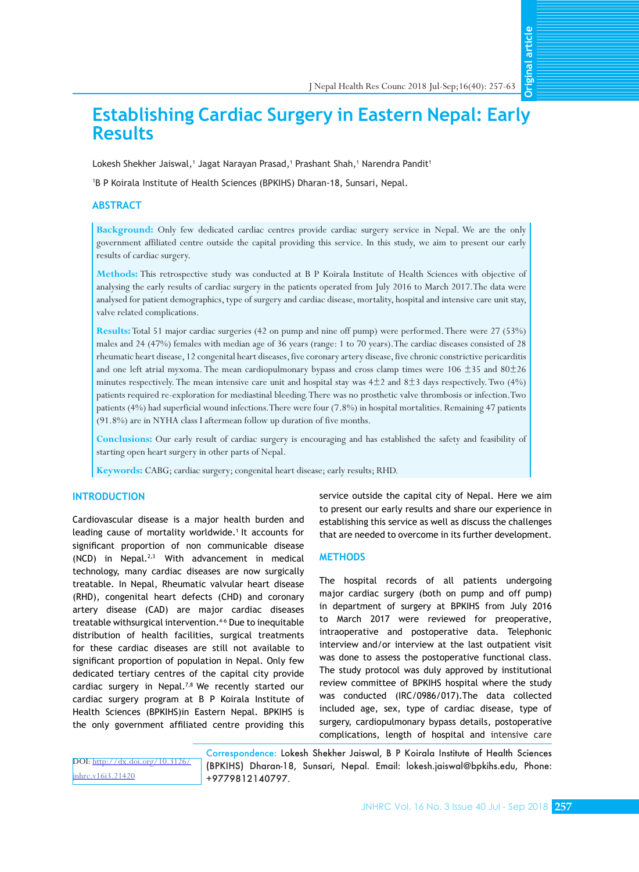**Original article** Original articl

# **Establishing Cardiac Surgery in Eastern Nepal: Early Results**

Lokesh Shekher Jaiswal,<sup>1</sup> Jagat Narayan Prasad,<sup>1</sup> Prashant Shah,<sup>1</sup> Narendra Pandit<sup>1</sup>

1 B P Koirala Institute of Health Sciences (BPKIHS) Dharan-18, Sunsari, Nepal.

# **ABSTRACT**

**Background:** Only few dedicated cardiac centres provide cardiac surgery service in Nepal. We are the only government affiliated centre outside the capital providing this service. In this study, we aim to present our early results of cardiac surgery.

**Methods:** This retrospective study was conducted at B P Koirala Institute of Health Sciences with objective of analysing the early results of cardiac surgery in the patients operated from July 2016 to March 2017.The data were analysed for patient demographics, type of surgery and cardiac disease, mortality, hospital and intensive care unit stay, valve related complications.

**Results:** Total 51 major cardiac surgeries (42 on pump and nine off pump) were performed. There were 27 (53%) males and 24 (47%) females with median age of 36 years (range: 1 to 70 years).The cardiac diseases consisted of 28 rheumatic heart disease, 12 congenital heart diseases, five coronary artery disease, five chronic constrictive pericarditis and one left atrial myxoma. The mean cardiopulmonary bypass and cross clamp times were  $106 \pm 35$  and  $80 \pm 26$ minutes respectively. The mean intensive care unit and hospital stay was  $4\pm 2$  and  $8\pm 3$  days respectively. Two (4%) patients required re-exploration for mediastinal bleeding. There was no prosthetic valve thrombosis or infection.Two patients (4%) had superficial wound infections.There were four (7.8%) in hospital mortalities. Remaining 47 patients (91.8%) are in NYHA class I aftermean follow up duration of five months.

**Conclusions:** Our early result of cardiac surgery is encouraging and has established the safety and feasibility of starting open heart surgery in other parts of Nepal.

**Keywords:** CABG; cardiac surgery; congenital heart disease; early results; RHD.

### **INTRODUCTION**

Cardiovascular disease is a major health burden and leading cause of mortality worldwide.<sup>1</sup> It accounts for significant proportion of non communicable disease  $(NCD)$  in Nepal.<sup>2,3</sup> With advancement in medical technology, many cardiac diseases are now surgically treatable. In Nepal, Rheumatic valvular heart disease (RHD), congenital heart defects (CHD) and coronary artery disease (CAD) are major cardiac diseases treatable withsurgical intervention.4-6 Due to inequitable distribution of health facilities, surgical treatments for these cardiac diseases are still not available to significant proportion of population in Nepal. Only few dedicated tertiary centres of the capital city provide cardiac surgery in Nepal.<sup>7,8</sup> We recently started our cardiac surgery program at B P Koirala Institute of Health Sciences (BPKIHS)in Eastern Nepal. BPKIHS is the only government affiliated centre providing this

service outside the capital city of Nepal. Here we aim to present our early results and share our experience in establishing this service as well as discuss the challenges that are needed to overcome in its further development.

#### **METHODS**

The hospital records of all patients undergoing major cardiac surgery (both on pump and off pump) in department of surgery at BPKIHS from July 2016 to March 2017 were reviewed for preoperative, intraoperative and postoperative data. Telephonic interview and/or interview at the last outpatient visit was done to assess the postoperative functional class. The study protocol was duly approved by institutional review committee of BPKIHS hospital where the study was conducted (IRC/0986/017).The data collected included age, sex, type of cardiac disease, type of surgery, cardiopulmonary bypass details, postoperative complications, length of hospital and intensive care

DOI: [http://dx.doi.org/10.3126/](http://dx.doi.org/10.3126/jnhrc.v16i3.21420) [jnhrc.v16i3.21420](http://dx.doi.org/10.3126/jnhrc.v16i3.21420)

Correspondence: Lokesh Shekher Jaiswal, B P Koirala Institute of Health Sciences (BPKIHS) Dharan-18, Sunsari, Nepal. Email: lokesh.jaiswal@bpkihs.edu, Phone: +9779812140797.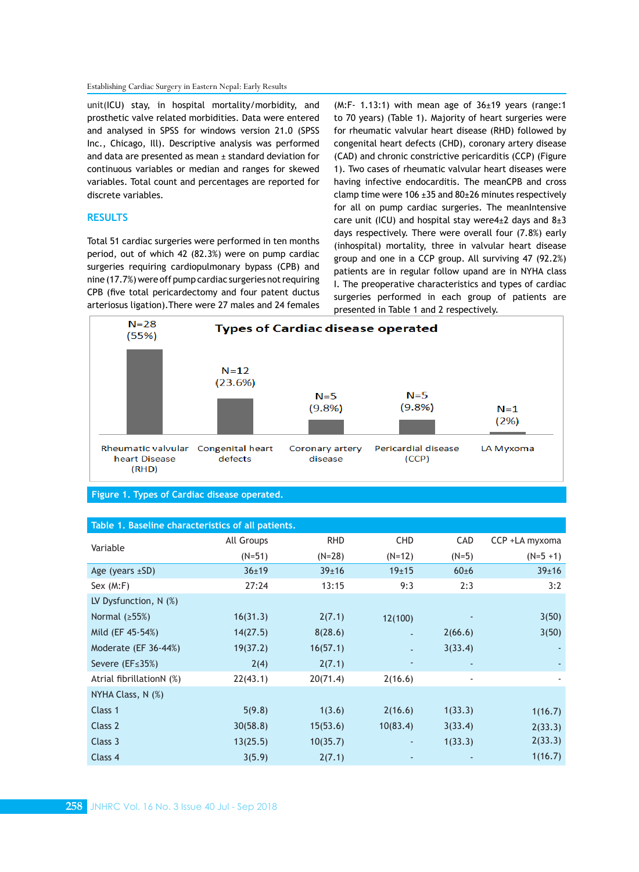unit(ICU) stay, in hospital mortality/morbidity, and prosthetic valve related morbidities. Data were entered and analysed in SPSS for windows version 21.0 (SPSS Inc., Chicago, Ill). Descriptive analysis was performed and data are presented as mean  $\pm$  standard deviation for continuous variables or median and ranges for skewed variables. Total count and percentages are reported for discrete variables.

# **RESULTS**

Total 51 cardiac surgeries were performed in ten months period, out of which 42 (82.3%) were on pump cardiac surgeries requiring cardiopulmonary bypass (CPB) and nine (17.7%) were off pump cardiac surgeries not requiring CPB (five total pericardectomy and four patent ductus arteriosus ligation).There were 27 males and 24 females

 $(M:F- 1.13:1)$  with mean age of  $36±19$  years (range:1 to 70 years) (Table 1). Majority of heart surgeries were for rheumatic valvular heart disease (RHD) followed by congenital heart defects (CHD), coronary artery disease (CAD) and chronic constrictive pericarditis (CCP) (Figure 1). Two cases of rheumatic valvular heart diseases were having infective endocarditis. The meanCPB and cross clamp time were 106 ±35 and 80±26 minutes respectively for all on pump cardiac surgeries. The meanIntensive care unit (ICU) and hospital stay were4 $\pm$ 2 days and 8 $\pm$ 3 days respectively. There were overall four (7.8%) early (inhospital) mortality, three in valvular heart disease group and one in a CCP group. All surviving 47 (92.2%) patients are in regular follow upand are in NYHA class I. The preoperative characteristics and types of cardiac surgeries performed in each group of patients are presented in Table 1 and 2 respectively.



#### **Figure 1. Types of Cardiac disease operated.**

| Table 1. Baseline characteristics of all patients. |            |            |            |                          |                |
|----------------------------------------------------|------------|------------|------------|--------------------------|----------------|
| Variable                                           | All Groups | <b>RHD</b> | <b>CHD</b> | <b>CAD</b>               | CCP +LA myxoma |
|                                                    | $(N=51)$   | $(N=28)$   | $(N=12)$   | $(N=5)$                  | $(N=5 + 1)$    |
| Age (years $\pm SD$ )                              | 36±19      | 39±16      | 19±15      | 60±6                     | 39±16          |
| Sex (M: F)                                         | 27:24      | 13:15      | 9:3        | 2:3                      | 3:2            |
| LV Dysfunction, $N$ (%)                            |            |            |            |                          |                |
| Normal $(255%)$                                    | 16(31.3)   | 2(7.1)     | 12(100)    |                          | 3(50)          |
| Mild (EF 45-54%)                                   | 14(27.5)   | 8(28.6)    |            | 2(66.6)                  | 3(50)          |
| Moderate (EF 36-44%)                               | 19(37.2)   | 16(57.1)   |            | 3(33.4)                  |                |
| Severe (EF≤35%)                                    | 2(4)       | 2(7.1)     |            |                          |                |
| Atrial fibrillationN (%)                           | 22(43.1)   | 20(71.4)   | 2(16.6)    | $\overline{\phantom{a}}$ |                |
| NYHA Class, $N$ (%)                                |            |            |            |                          |                |
| Class 1                                            | 5(9.8)     | 1(3.6)     | 2(16.6)    | 1(33.3)                  | 1(16.7)        |
| Class 2                                            | 30(58.8)   | 15(53.6)   | 10(83.4)   | 3(33.4)                  | 2(33.3)        |
| Class 3                                            | 13(25.5)   | 10(35.7)   |            | 1(33.3)                  | 2(33.3)        |
| Class 4                                            | 3(5.9)     | 2(7.1)     |            |                          | 1(16.7)        |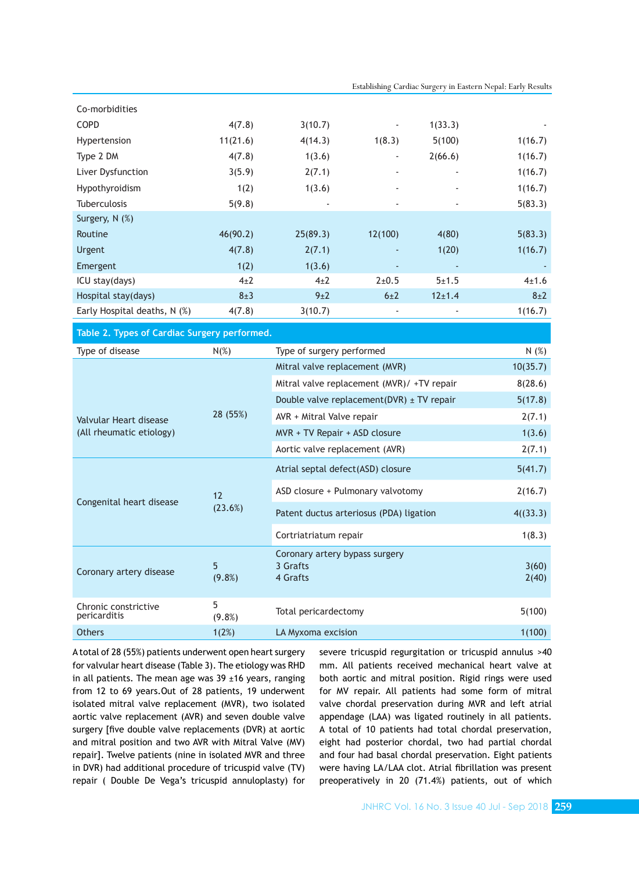| Co-morbidities               |          |          |                          |                          |         |
|------------------------------|----------|----------|--------------------------|--------------------------|---------|
| <b>COPD</b>                  | 4(7.8)   | 3(10.7)  | $\overline{\phantom{a}}$ | 1(33.3)                  |         |
| Hypertension                 | 11(21.6) | 4(14.3)  | 1(8.3)                   | 5(100)                   | 1(16.7) |
| Type 2 DM                    | 4(7.8)   | 1(3.6)   | $\overline{\phantom{a}}$ | 2(66.6)                  | 1(16.7) |
| Liver Dysfunction            | 3(5.9)   | 2(7.1)   | ٠                        | $\overline{\phantom{a}}$ | 1(16.7) |
| Hypothyroidism               | 1(2)     | 1(3.6)   |                          |                          | 1(16.7) |
| Tuberculosis                 | 5(9.8)   |          | ٠                        |                          | 5(83.3) |
| Surgery, N (%)               |          |          |                          |                          |         |
| Routine                      | 46(90.2) | 25(89.3) | 12(100)                  | 4(80)                    | 5(83.3) |
| Urgent                       | 4(7.8)   | 2(7.1)   | ٠                        | 1(20)                    | 1(16.7) |
| Emergent                     | 1(2)     | 1(3.6)   |                          |                          |         |
| ICU stay(days)               | $4\pm 2$ | $4\pm 2$ | $2 + 0.5$                | $5 + 1.5$                | 4±1.6   |
| Hospital stay(days)          | 8±3      | 9±2      | 6±2                      | $12 \pm 1.4$             | $8\pm2$ |
| Early Hospital deaths, N (%) | 4(7.8)   | 3(10.7)  | ٠                        | ٠                        | 1(16.7) |

| Table 2. Types of Cardiac Surgery performed.       |                |                                                        |                |
|----------------------------------------------------|----------------|--------------------------------------------------------|----------------|
| Type of disease                                    | $N(\%)$        | Type of surgery performed                              | N(%)           |
|                                                    |                | Mitral valve replacement (MVR)                         | 10(35.7)       |
|                                                    |                | Mitral valve replacement (MVR)/ +TV repair             | 8(28.6)        |
|                                                    |                | Double valve replacement (DVR) $\pm$ TV repair         | 5(17.8)        |
| Valvular Heart disease<br>(All rheumatic etiology) | 28 (55%)       | AVR + Mitral Valve repair                              | 2(7.1)         |
|                                                    |                | MVR + TV Repair + ASD closure                          | 1(3.6)         |
|                                                    |                | Aortic valve replacement (AVR)                         | 2(7.1)         |
| Congenital heart disease                           | 12<br>(23.6%)  | Atrial septal defect(ASD) closure                      | 5(41.7)        |
|                                                    |                | ASD closure + Pulmonary valvotomy                      | 2(16.7)        |
|                                                    |                | Patent ductus arteriosus (PDA) ligation                | 4(33.3)        |
|                                                    |                | Cortriatriatum repair                                  | 1(8.3)         |
| Coronary artery disease                            | 5<br>$(9.8\%)$ | Coronary artery bypass surgery<br>3 Grafts<br>4 Grafts | 3(60)<br>2(40) |
| Chronic constrictive<br>pericarditis               | 5<br>$(9.8\%)$ | Total pericardectomy                                   | 5(100)         |
| <b>Others</b>                                      | 1(2%)          | LA Myxoma excision                                     | 1(100)         |

A total of 28 (55%) patients underwent open heart surgery for valvular heart disease (Table 3). The etiology was RHD in all patients. The mean age was  $39 \pm 16$  years, ranging from 12 to 69 years.Out of 28 patients, 19 underwent isolated mitral valve replacement (MVR), two isolated aortic valve replacement (AVR) and seven double valve surgery [five double valve replacements (DVR) at aortic and mitral position and two AVR with Mitral Valve (MV) repair]. Twelve patients (nine in isolated MVR and three in DVR) had additional procedure of tricuspid valve (TV) repair ( Double De Vega's tricuspid annuloplasty) for

severe tricuspid regurgitation or tricuspid annulus >40 mm. All patients received mechanical heart valve at both aortic and mitral position. Rigid rings were used for MV repair. All patients had some form of mitral valve chordal preservation during MVR and left atrial appendage (LAA) was ligated routinely in all patients. A total of 10 patients had total chordal preservation, eight had posterior chordal, two had partial chordal and four had basal chordal preservation. Eight patients were having LA/LAA clot. Atrial fibrillation was present preoperatively in 20 (71.4%) patients, out of which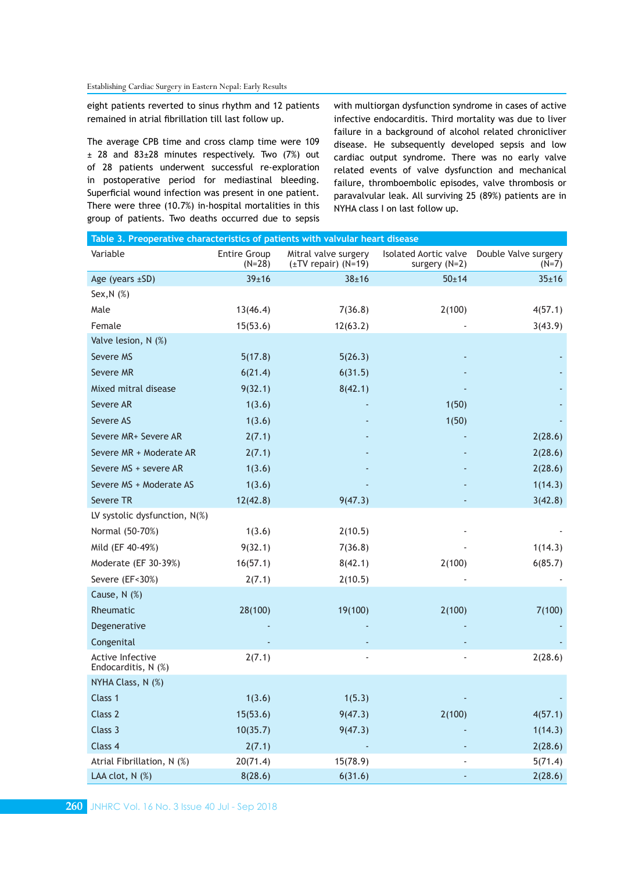eight patients reverted to sinus rhythm and 12 patients remained in atrial fibrillation till last follow up.

The average CPB time and cross clamp time were 109  $±$  28 and 83 $±$ 28 minutes respectively. Two (7%) out of 28 patients underwent successful re-exploration in postoperative period for mediastinal bleeding. Superficial wound infection was present in one patient. There were three (10.7%) in-hospital mortalities in this group of patients. Two deaths occurred due to sepsis with multiorgan dysfunction syndrome in cases of active infective endocarditis. Third mortality was due to liver failure in a background of alcohol related chronicliver disease. He subsequently developed sepsis and low cardiac output syndrome. There was no early valve related events of valve dysfunction and mechanical failure, thromboembolic episodes, valve thrombosis or paravalvular leak. All surviving 25 (89%) patients are in NYHA class I on last follow up.

| Table 3. Preoperative characteristics of patients with valvular heart disease |                                 |                                                  |                                          |                                 |  |
|-------------------------------------------------------------------------------|---------------------------------|--------------------------------------------------|------------------------------------------|---------------------------------|--|
| Variable                                                                      | <b>Entire Group</b><br>$(N=28)$ | Mitral valve surgery<br>$(\pm TV$ repair) (N=19) | Isolated Aortic valve<br>surgery $(N=2)$ | Double Valve surgery<br>$(N=7)$ |  |
| Age (years $\pm$ SD)                                                          | $39 \pm 16$                     | $38 + 16$                                        | 50±14                                    | 35±16                           |  |
| Sex, $N$ $(\%)$                                                               |                                 |                                                  |                                          |                                 |  |
| Male                                                                          | 13(46.4)                        | 7(36.8)                                          | 2(100)                                   | 4(57.1)                         |  |
| Female                                                                        | 15(53.6)                        | 12(63.2)                                         |                                          | 3(43.9)                         |  |
| Valve lesion, $N$ $(\%)$                                                      |                                 |                                                  |                                          |                                 |  |
| Severe MS                                                                     | 5(17.8)                         | 5(26.3)                                          |                                          |                                 |  |
| Severe MR                                                                     | 6(21.4)                         | 6(31.5)                                          |                                          |                                 |  |
| Mixed mitral disease                                                          | 9(32.1)                         | 8(42.1)                                          |                                          |                                 |  |
| Severe AR                                                                     | 1(3.6)                          |                                                  | 1(50)                                    |                                 |  |
| Severe AS                                                                     | 1(3.6)                          |                                                  | 1(50)                                    |                                 |  |
| Severe MR+ Severe AR                                                          | 2(7.1)                          |                                                  |                                          | 2(28.6)                         |  |
| Severe MR + Moderate AR                                                       | 2(7.1)                          |                                                  |                                          | 2(28.6)                         |  |
| Severe MS + severe AR                                                         | 1(3.6)                          |                                                  |                                          | 2(28.6)                         |  |
| Severe MS + Moderate AS                                                       | 1(3.6)                          |                                                  |                                          | 1(14.3)                         |  |
| Severe TR                                                                     | 12(42.8)                        | 9(47.3)                                          |                                          | 3(42.8)                         |  |
| LV systolic dysfunction, N(%)                                                 |                                 |                                                  |                                          |                                 |  |
| Normal (50-70%)                                                               | 1(3.6)                          | 2(10.5)                                          |                                          |                                 |  |
| Mild (EF 40-49%)                                                              | 9(32.1)                         | 7(36.8)                                          |                                          | 1(14.3)                         |  |
| Moderate (EF 30-39%)                                                          | 16(57.1)                        | 8(42.1)                                          | 2(100)                                   | 6(85.7)                         |  |
| Severe (EF<30%)                                                               | 2(7.1)                          | 2(10.5)                                          |                                          |                                 |  |
| Cause, N (%)                                                                  |                                 |                                                  |                                          |                                 |  |
| Rheumatic                                                                     | 28(100)                         | 19(100)                                          | 2(100)                                   | 7(100)                          |  |
| Degenerative                                                                  |                                 |                                                  |                                          |                                 |  |
| Congenital                                                                    |                                 |                                                  |                                          |                                 |  |
| Active Infective<br>Endocarditis, N (%)                                       | 2(7.1)                          |                                                  |                                          | 2(28.6)                         |  |
| NYHA Class, N (%)                                                             |                                 |                                                  |                                          |                                 |  |
| Class 1                                                                       | 1(3.6)                          | 1(5.3)                                           |                                          |                                 |  |
| Class 2                                                                       | 15(53.6)                        | 9(47.3)                                          | 2(100)                                   | 4(57.1)                         |  |
| Class 3                                                                       | 10(35.7)                        | 9(47.3)                                          |                                          | 1(14.3)                         |  |
| Class 4                                                                       | 2(7.1)                          |                                                  |                                          | 2(28.6)                         |  |
| Atrial Fibrillation, N (%)                                                    | 20(71.4)                        | 15(78.9)                                         |                                          | 5(71.4)                         |  |
| LAA clot, N (%)                                                               | 8(28.6)                         | 6(31.6)                                          |                                          | 2(28.6)                         |  |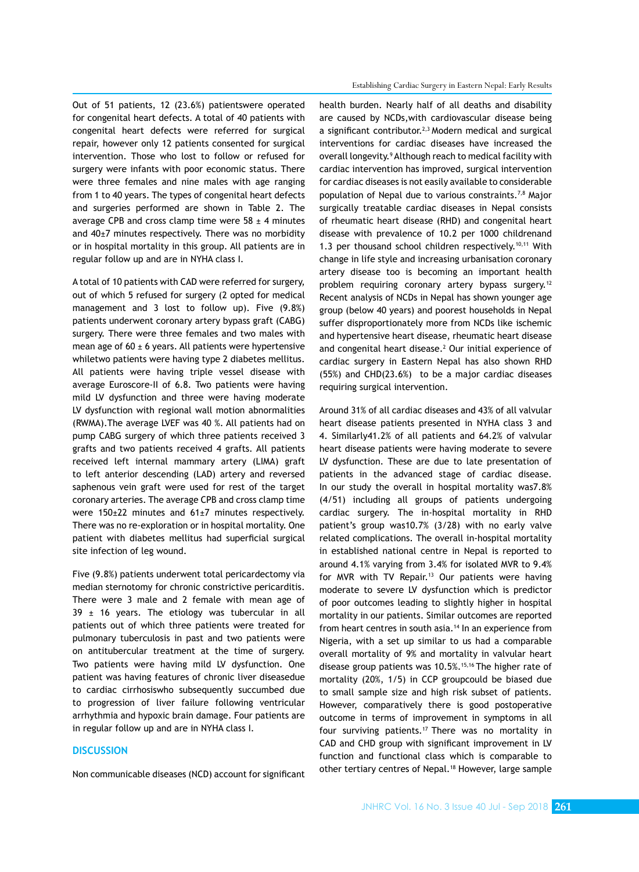Out of 51 patients, 12 (23.6%) patientswere operated for congenital heart defects. A total of 40 patients with congenital heart defects were referred for surgical repair, however only 12 patients consented for surgical intervention. Those who lost to follow or refused for surgery were infants with poor economic status. There were three females and nine males with age ranging from 1 to 40 years. The types of congenital heart defects and surgeries performed are shown in Table 2. The average CPB and cross clamp time were  $58 \pm 4$  minutes and 40±7 minutes respectively. There was no morbidity or in hospital mortality in this group. All patients are in regular follow up and are in NYHA class I.

A total of 10 patients with CAD were referred for surgery, out of which 5 refused for surgery (2 opted for medical management and 3 lost to follow up). Five (9.8%) patients underwent coronary artery bypass graft (CABG) surgery. There were three females and two males with mean age of  $60 \pm 6$  years. All patients were hypertensive whiletwo patients were having type 2 diabetes mellitus. All patients were having triple vessel disease with average Euroscore-II of 6.8. Two patients were having mild LV dysfunction and three were having moderate LV dysfunction with regional wall motion abnormalities (RWMA).The average LVEF was 40 %. All patients had on pump CABG surgery of which three patients received 3 grafts and two patients received 4 grafts. All patients received left internal mammary artery (LIMA) graft to left anterior descending (LAD) artery and reversed saphenous vein graft were used for rest of the target coronary arteries. The average CPB and cross clamp time were 150±22 minutes and 61±7 minutes respectively. There was no re-exploration or in hospital mortality. One patient with diabetes mellitus had superficial surgical site infection of leg wound.

Five (9.8%) patients underwent total pericardectomy via median sternotomy for chronic constrictive pericarditis. There were 3 male and 2 female with mean age of  $39 \pm 16$  years. The etiology was tubercular in all patients out of which three patients were treated for pulmonary tuberculosis in past and two patients were on antitubercular treatment at the time of surgery. Two patients were having mild LV dysfunction. One patient was having features of chronic liver diseasedue to cardiac cirrhosiswho subsequently succumbed due to progression of liver failure following ventricular arrhythmia and hypoxic brain damage. Four patients are in regular follow up and are in NYHA class I.

## **DISCUSSION**

Non communicable diseases (NCD) account for significant

health burden. Nearly half of all deaths and disability are caused by NCDs,with cardiovascular disease being a significant contributor.<sup>2,3</sup> Modern medical and surgical interventions for cardiac diseases have increased the overall longevity.<sup>9</sup> Although reach to medical facility with cardiac intervention has improved, surgical intervention for cardiac diseases is not easily available to considerable population of Nepal due to various constraints.7,8 Major surgically treatable cardiac diseases in Nepal consists of rheumatic heart disease (RHD) and congenital heart disease with prevalence of 10.2 per 1000 childrenand 1.3 per thousand school children respectively.<sup>10,11</sup> With change in life style and increasing urbanisation coronary artery disease too is becoming an important health problem requiring coronary artery bypass surgery.<sup>12</sup> Recent analysis of NCDs in Nepal has shown younger age group (below 40 years) and poorest households in Nepal suffer disproportionately more from NCDs like ischemic and hypertensive heart disease, rheumatic heart disease and congenital heart disease.<sup>2</sup> Our initial experience of cardiac surgery in Eastern Nepal has also shown RHD (55%) and CHD(23.6%) to be a major cardiac diseases requiring surgical intervention.

Around 31% of all cardiac diseases and 43% of all valvular heart disease patients presented in NYHA class 3 and 4. Similarly41.2% of all patients and 64.2% of valvular heart disease patients were having moderate to severe LV dysfunction. These are due to late presentation of patients in the advanced stage of cardiac disease. In our study the overall in hospital mortality was7.8% (4/51) including all groups of patients undergoing cardiac surgery. The in-hospital mortality in RHD patient's group was10.7% (3/28) with no early valve related complications. The overall in-hospital mortality in established national centre in Nepal is reported to around 4.1% varying from 3.4% for isolated MVR to 9.4% for MVR with TV Repair.<sup>13</sup> Our patients were having moderate to severe LV dysfunction which is predictor of poor outcomes leading to slightly higher in hospital mortality in our patients. Similar outcomes are reported from heart centres in south asia.<sup>14</sup> In an experience from Nigeria, with a set up similar to us had a comparable overall mortality of 9% and mortality in valvular heart disease group patients was 10.5%.<sup>15,16</sup> The higher rate of mortality (20%, 1/5) in CCP groupcould be biased due to small sample size and high risk subset of patients. However, comparatively there is good postoperative outcome in terms of improvement in symptoms in all four surviving patients.<sup>17</sup> There was no mortality in CAD and CHD group with significant improvement in LV function and functional class which is comparable to other tertiary centres of Nepal.18 However, large sample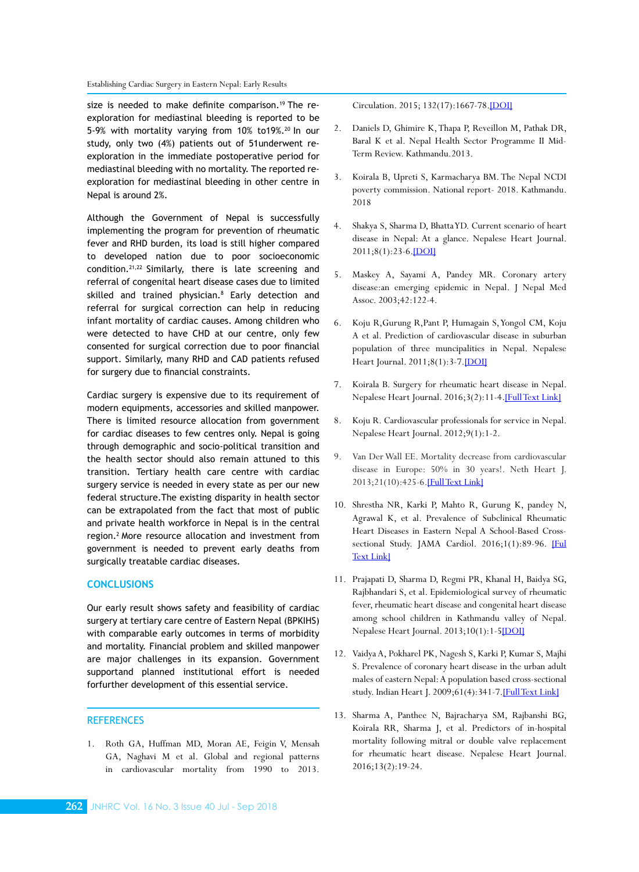size is needed to make definite comparison.<sup>19</sup> The reexploration for mediastinal bleeding is reported to be 5-9% with mortality varying from 10% to19%.<sup>20</sup> In our study, only two (4%) patients out of 51underwent reexploration in the immediate postoperative period for mediastinal bleeding with no mortality. The reported reexploration for mediastinal bleeding in other centre in Nepal is around 2%.

Although the Government of Nepal is successfully implementing the program for prevention of rheumatic fever and RHD burden, its load is still higher compared to developed nation due to poor socioeconomic condition.21,22 Similarly, there is late screening and referral of congenital heart disease cases due to limited skilled and trained physician.8 Early detection and referral for surgical correction can help in reducing infant mortality of cardiac causes. Among children who were detected to have CHD at our centre, only few consented for surgical correction due to poor financial support. Similarly, many RHD and CAD patients refused for surgery due to financial constraints.

Cardiac surgery is expensive due to its requirement of modern equipments, accessories and skilled manpower. There is limited resource allocation from government for cardiac diseases to few centres only. Nepal is going through demographic and socio-political transition and the health sector should also remain attuned to this transition. Tertiary health care centre with cardiac surgery service is needed in every state as per our new federal structure.The existing disparity in health sector can be extrapolated from the fact that most of public and private health workforce in Nepal is in the central region.<sup>2</sup> More resource allocation and investment from government is needed to prevent early deaths from surgically treatable cardiac diseases.

#### **CONCLUSIONS**

Our early result shows safety and feasibility of cardiac surgery at tertiary care centre of Eastern Nepal (BPKIHS) with comparable early outcomes in terms of morbidity and mortality. Financial problem and skilled manpower are major challenges in its expansion. Government supportand planned institutional effort is needed forfurther development of this essential service.

# **REFERENCES**

1. [Roth GA,](https://www.ncbi.nlm.nih.gov/pubmed/?term=Roth%20GA%5BAuthor%5D&cauthor=true&cauthor_uid=26503749) [Huffman MD,](https://www.ncbi.nlm.nih.gov/pubmed/?term=Huffman%20MD%5BAuthor%5D&cauthor=true&cauthor_uid=26503749) [Moran AE,](https://www.ncbi.nlm.nih.gov/pubmed/?term=Moran%20AE%5BAuthor%5D&cauthor=true&cauthor_uid=26503749) [Feigin V](https://www.ncbi.nlm.nih.gov/pubmed/?term=Feigin%20V%5BAuthor%5D&cauthor=true&cauthor_uid=26503749), [Mensah](https://www.ncbi.nlm.nih.gov/pubmed/?term=Mensah%20GA%5BAuthor%5D&cauthor=true&cauthor_uid=26503749)  [GA,](https://www.ncbi.nlm.nih.gov/pubmed/?term=Mensah%20GA%5BAuthor%5D&cauthor=true&cauthor_uid=26503749) [Naghavi M](https://www.ncbi.nlm.nih.gov/pubmed/?term=Naghavi%20M%5BAuthor%5D&cauthor=true&cauthor_uid=26503749) et al. Global and regional patterns in cardiovascular mortality from 1990 to 2013.

[Circulation.](https://www.ncbi.nlm.nih.gov/pubmed/?term=(Circulation.+2015%3B132%3A1667-1678.+DOI%3A+10.1161%2FCIRCULATIONAHA.114.008720.)) 2015; 132(17):1667-78[.\[DOI\]](https://doi.org/10.1161/CIRCULATIONAHA.114.008720)

- 2. Daniels D, Ghimire K, Thapa P, Reveillon M, Pathak DR, Baral K et al. Nepal Health Sector Programme II Mid-Term Review. Kathmandu.2013.
- 3. Koirala B, Upreti S, Karmacharya BM. The Nepal NCDI poverty commission. National report- 2018. Kathmandu. 2018
- 4. Shakya S, Sharma D, Bhatta YD. Current scenario of heart disease in Nepal: At a glance. Nepalese Heart Journal. 2011;8(1):23-6[.\[DOI\]](http://dx.doi.org/10.3126/njh.v8i1.8333)
- 5. Maskey A, Sayami A, Pandey MR. Coronary artery disease:an emerging epidemic in Nepal. J Nepal Med Assoc. 2003;42:122-4.
- 6. Koju R,Gurung R,Pant P, Humagain S, Yongol CM, Koju A et al. Prediction of cardiovascular disease in suburban population of three muncipalities in Nepal. Nepalese Heart Journal. 2011;8(1):3-7[.\[DOI\]](http://dx.doi.org/10.3126/njh.v8i1.8328)
- 7. Koirala B. Surgery for rheumatic heart disease in Nepal. Nepalese Heart Journal. 2016;3(2):11-4.[\[Full Text Link\]](https://www.nejm.org/doi/full/10.1056/NEJMsa050004)
- 8. Koju R. Cardiovascular professionals for service in Nepal. Nepalese Heart Journal. 2012;9(1):1-2.
- Van Der Wall EE. Mortality decrease from cardiovascular disease in Europe: 50% in 30 years!. Neth Heart J. 2013;21(10):425-6[.\[Full Text Link\]](https://link.springer.com/article/10.1007/s12471-013-0469-9)
- 10. Shrestha NR, Karki P, Mahto R, Gurung K, pandey N, Agrawal K, et al. Prevalence of Subclinical Rheumatic Heart Diseases in Eastern Nepal A School-Based Crosssectional Study. JAMA Cardiol. 2016;1(1):89-96. [Ful [Text Link\]](https://jamanetwork.com/journals/jamacardiology/fullarticle/2498961)
- 11. Prajapati D, Sharma D, Regmi PR, Khanal H, Baidya SG, Rajbhandari S, et al. Epidemiological survey of rheumatic fever, rheumatic heart disease and congenital heart disease among school children in Kathmandu valley of Nepal. Nepalese Heart Journal. 2013;10(1):1-5[\[DOI\]](http://dx.doi.org/10.3126/njh.v10i1.9738)
- 12. Vaidya A, Pokharel PK, Nagesh S, Karki P, Kumar S, Majhi S. Prevalence of coronary heart disease in the urban adult males of eastern Nepal: A population based cross-sectional study. Indian Heart J. 2009;61(4):341-7.[\[Full Text Link\]](https://s3.amazonaws.com/academia.edu.documents/41323360/Prevalence_of_coronary_heart_disease_in_20160119-26346-8r4ff.pdf?AWSAccessKeyId=AKIAIWOWYYGZ2Y53UL3A&Expires=1532080771&Signature=nImqP8GMM3O1o0ZujdfM%2BXTfu40%3D&response-content-disposition=inline%25)
- 13. Sharma A, Panthee N, Bajracharya SM, Rajbanshi BG, Koirala RR, Sharma J, et al. Predictors of in-hospital mortality following mitral or double valve replacement for rheumatic heart disease. Nepalese Heart Journal. 2016;13(2):19-24.